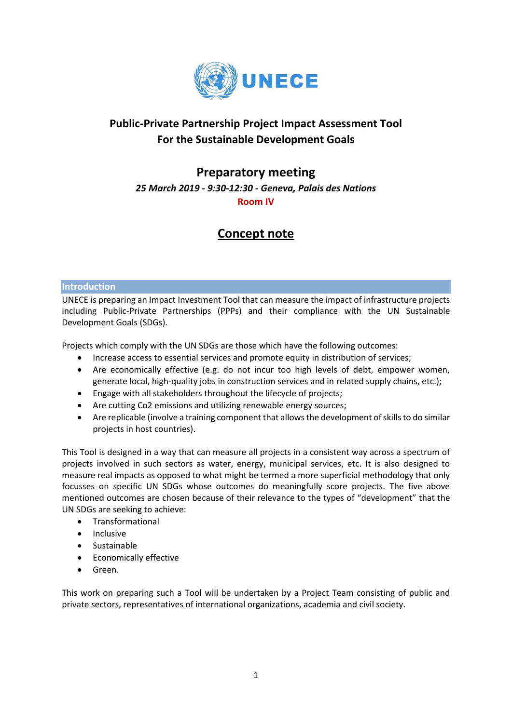

## **Public-Private Partnership Project Impact Assessment Tool For the Sustainable Development Goals**

### **Preparatory meeting**

*25 March 2019 - 9:30-12:30 - Geneva, Palais des Nations*

**Room IV**

# **Concept note**

#### **Introduction**

UNECE is preparing an Impact Investment Tool that can measure the impact of infrastructure projects including Public-Private Partnerships (PPPs) and their compliance with the UN Sustainable Development Goals (SDGs).

Projects which comply with the UN SDGs are those which have the following outcomes:

- Increase access to essential services and promote equity in distribution of services;
- Are economically effective (e.g. do not incur too high levels of debt, empower women, generate local, high-quality jobs in construction services and in related supply chains, etc.);
- Engage with all stakeholders throughout the lifecycle of projects;
- Are cutting Co2 emissions and utilizing renewable energy sources;
- Are replicable (involve a training component that allows the development of skills to do similar projects in host countries).

This Tool is designed in a way that can measure all projects in a consistent way across a spectrum of projects involved in such sectors as water, energy, municipal services, etc. It is also designed to measure real impacts as opposed to what might be termed a more superficial methodology that only focusses on specific UN SDGs whose outcomes do meaningfully score projects. The five above mentioned outcomes are chosen because of their relevance to the types of "development" that the UN SDGs are seeking to achieve:

- Transformational
- Inclusive
- Sustainable
- Economically effective
- Green.

This work on preparing such a Tool will be undertaken by a Project Team consisting of public and private sectors, representatives of international organizations, academia and civil society.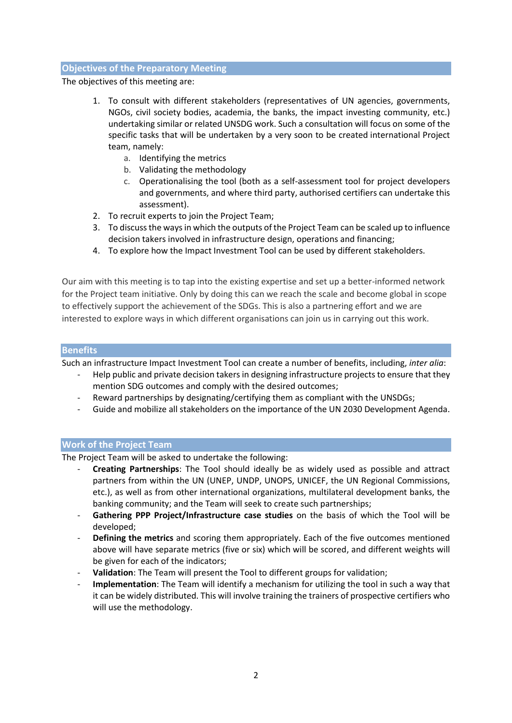#### **Objectives of the Preparatory Meeting**

The objectives of this meeting are:

- 1. To consult with different stakeholders (representatives of UN agencies, governments, NGOs, civil society bodies, academia, the banks, the impact investing community, etc.) undertaking similar or related UNSDG work. Such a consultation will focus on some of the specific tasks that will be undertaken by a very soon to be created international Project team, namely:
	- a. Identifying the metrics
	- b. Validating the methodology
	- c. Operationalising the tool (both as a self-assessment tool for project developers and governments, and where third party, authorised certifiers can undertake this assessment).
- 2. To recruit experts to join the Project Team;
- 3. To discuss the ways in which the outputs of the Project Team can be scaled up to influence decision takers involved in infrastructure design, operations and financing;
- 4. To explore how the Impact Investment Tool can be used by different stakeholders.

Our aim with this meeting is to tap into the existing expertise and set up a better-informed network for the Project team initiative. Only by doing this can we reach the scale and become global in scope to effectively support the achievement of the SDGs. This is also a partnering effort and we are interested to explore ways in which different organisations can join us in carrying out this work.

#### **Benefits**

Such an infrastructure Impact Investment Tool can create a number of benefits, including, *inter alia*:

- Help public and private decision takers in designing infrastructure projects to ensure that they mention SDG outcomes and comply with the desired outcomes;
- Reward partnerships by designating/certifying them as compliant with the UNSDGs;
- Guide and mobilize all stakeholders on the importance of the UN 2030 Development Agenda.

#### **Work of the Project Team**

The Project Team will be asked to undertake the following:

- **Creating Partnerships**: The Tool should ideally be as widely used as possible and attract partners from within the UN (UNEP, UNDP, UNOPS, UNICEF, the UN Regional Commissions, etc.), as well as from other international organizations, multilateral development banks, the banking community; and the Team will seek to create such partnerships;
- **Gathering PPP Project/Infrastructure case studies** on the basis of which the Tool will be developed;
- **Defining the metrics** and scoring them appropriately. Each of the five outcomes mentioned above will have separate metrics (five or six) which will be scored, and different weights will be given for each of the indicators;
- Validation: The Team will present the Tool to different groups for validation;
- **Implementation**: The Team will identify a mechanism for utilizing the tool in such a way that it can be widely distributed. This will involve training the trainers of prospective certifiers who will use the methodology.